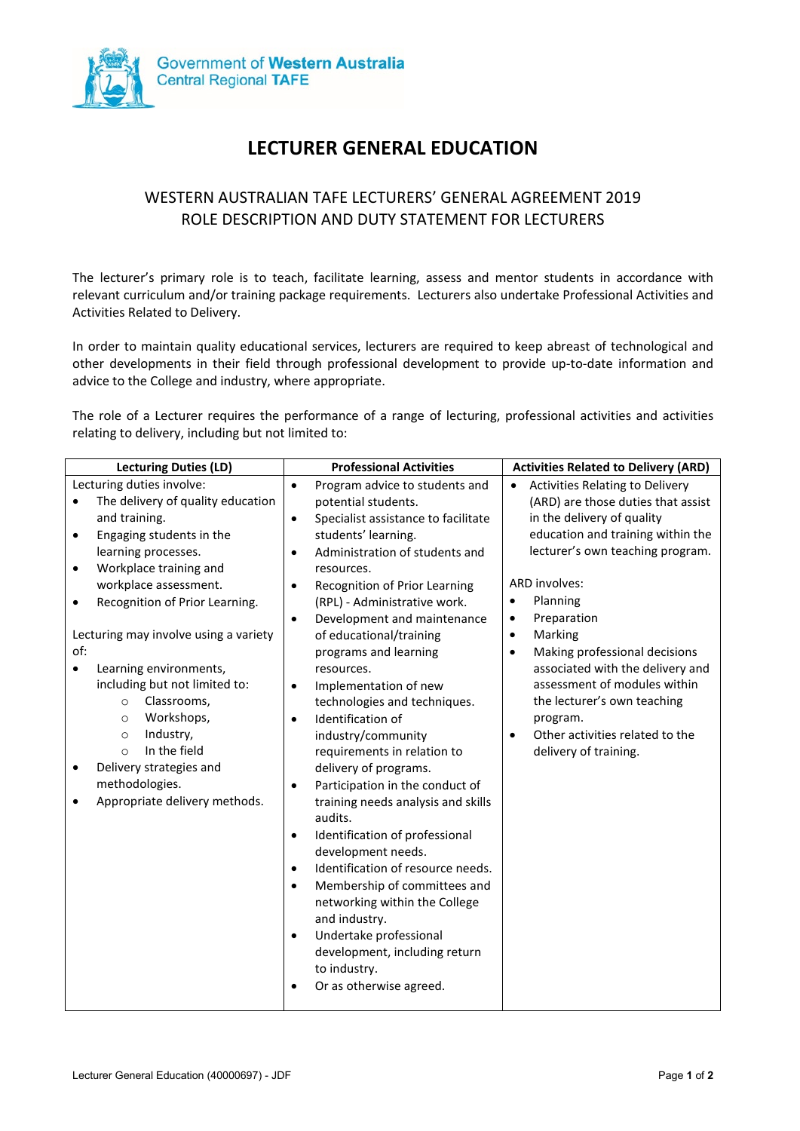

# **LECTURER GENERAL EDUCATION**

## WESTERN AUSTRALIAN TAFE LECTURERS' GENERAL AGREEMENT 2019 ROLE DESCRIPTION AND DUTY STATEMENT FOR LECTURERS

The lecturer's primary role is to teach, facilitate learning, assess and mentor students in accordance with relevant curriculum and/or training package requirements. Lecturers also undertake Professional Activities and Activities Related to Delivery.

In order to maintain quality educational services, lecturers are required to keep abreast of technological and other developments in their field through professional development to provide up-to-date information and advice to the College and industry, where appropriate.

The role of a Lecturer requires the performance of a range of lecturing, professional activities and activities relating to delivery, including but not limited to:

| Lecturing duties involve:<br><b>Activities Relating to Delivery</b><br>Program advice to students and<br>$\bullet$<br>$\bullet$<br>The delivery of quality education<br>(ARD) are those duties that assist<br>potential students.                                                                                                                                                                                                                                                                                                                                                                                                                                                                                                                                                                                                                                                                                                                                                                                                                                                                                                                                                                                                                                                                                                                                                                                                                                                                                                                                                                                                                                                                                                                                                                                        |
|--------------------------------------------------------------------------------------------------------------------------------------------------------------------------------------------------------------------------------------------------------------------------------------------------------------------------------------------------------------------------------------------------------------------------------------------------------------------------------------------------------------------------------------------------------------------------------------------------------------------------------------------------------------------------------------------------------------------------------------------------------------------------------------------------------------------------------------------------------------------------------------------------------------------------------------------------------------------------------------------------------------------------------------------------------------------------------------------------------------------------------------------------------------------------------------------------------------------------------------------------------------------------------------------------------------------------------------------------------------------------------------------------------------------------------------------------------------------------------------------------------------------------------------------------------------------------------------------------------------------------------------------------------------------------------------------------------------------------------------------------------------------------------------------------------------------------|
| in the delivery of quality<br>and training.<br>Specialist assistance to facilitate<br>$\bullet$<br>education and training within the<br>students' learning.<br>Engaging students in the<br>lecturer's own teaching program.<br>Administration of students and<br>learning processes.<br>Workplace training and<br>resources.<br><b>ARD involves:</b><br>workplace assessment.<br>Recognition of Prior Learning<br>$\bullet$<br>Planning<br>Recognition of Prior Learning.<br>(RPL) - Administrative work.<br>$\bullet$<br>Preparation<br>Development and maintenance<br>٠<br>$\bullet$<br>Lecturing may involve using a variety<br>of educational/training<br>Marking<br>٠<br>of:<br>programs and learning<br>Making professional decisions<br>$\bullet$<br>associated with the delivery and<br>Learning environments,<br>resources.<br>assessment of modules within<br>including but not limited to:<br>Implementation of new<br>Classrooms,<br>technologies and techniques.<br>the lecturer's own teaching<br>$\circ$<br>Workshops,<br>Identification of<br>program.<br>$\circ$<br>$\bullet$<br>Industry,<br>Other activities related to the<br>industry/community<br>$\circ$<br>$\bullet$<br>In the field<br>delivery of training.<br>$\circ$<br>requirements in relation to<br>Delivery strategies and<br>delivery of programs.<br>methodologies.<br>Participation in the conduct of<br>$\bullet$<br>Appropriate delivery methods.<br>training needs analysis and skills<br>audits.<br>Identification of professional<br>٠<br>development needs.<br>Identification of resource needs.<br>$\bullet$<br>Membership of committees and<br>$\bullet$<br>networking within the College<br>and industry.<br>Undertake professional<br>$\bullet$<br>development, including return<br>to industry.<br>Or as otherwise agreed. |